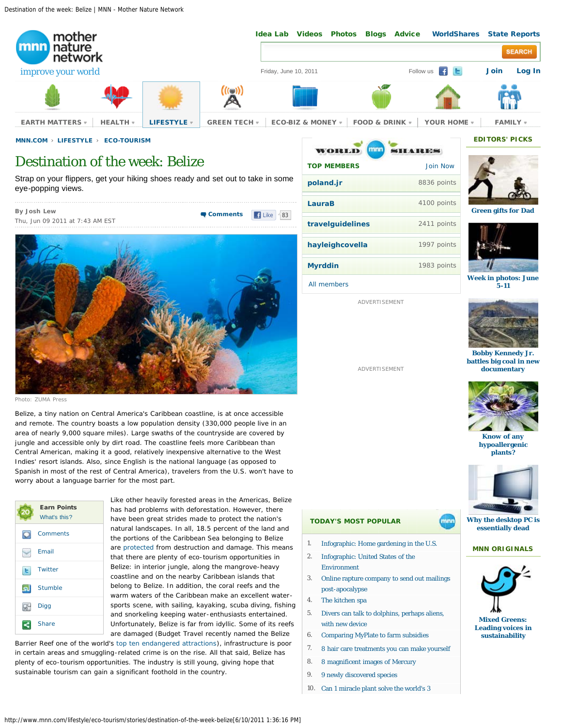Destination of the week: Belize | MNN - Mother Nature Network



# Destination of the week: Belize

Strap on your flippers, get your hiking shoes ready and set out to take in some eye-popping views.

**By [Josh Lew](http://www.mnn.com/users/joshwlew)** Thu, Jun 09 2011 at 7:43 AM EST **[Comments](http://www.mnn.com/lifestyle/eco-tourism/stories/destination-of-the-week-belize#comments)** | Elike 183



Photo: ZUMA Press

Belize, a tiny nation on Central America's Caribbean coastline, is at once accessible and remote. The country boasts a low population density (330,000 people live in an area of nearly 9,000 square miles). Large swaths of the countryside are covered by jungle and accessible only by dirt road. The coastline feels more Caribbean than Central American, making it a good, relatively inexpensive alternative to the West Indies' resort islands. Also, since English is the national language (as opposed to Spanish in most of the rest of Central America), travelers from the U.S. won't have to worry about a language barrier for the most part.

|     | <b>Earn Points</b><br>What's this? |
|-----|------------------------------------|
|     | Comments                           |
|     | Email                              |
| G   | Twitter                            |
| .SJ | <b>Stumble</b>                     |
| ۵ч  | Digg                               |
|     | <b>Share</b>                       |

Like other heavily forested areas in the Americas, Belize has had problems with deforestation. However, there have been great strides made to protect the nation's natural landscapes. In all, 18.5 percent of the land and the portions of the Caribbean Sea belonging to Belize are [protected](http://www.biodiversity.bz/find/protected_area/) from destruction and damage. This means that there are plenty of eco-tourism opportunities in Belize: in interior jungle, along the mangrove-heavy coastline and on the nearby Caribbean islands that belong to Belize. In addition, the coral reefs and the warm waters of the Caribbean make an excellent watersports scene, with sailing, kayaking, scuba diving, fishing and snorkeling keeping water-enthusiasts entertained. Unfortunately, Belize is far from idyllic. Some of its reefs are damaged (Budget Travel recently named the Belize

Barrier Reef one of the world's [top ten endangered attractions](http://www.msnbc.msn.com/id/42723289/ns/travel-destination_travel/)), infrastructure is poor in certain areas and smuggling-related crime is on the rise. All that said, Belize has plenty of eco-tourism opportunities. The industry is still young, giving hope that sustainable tourism can gain a significant foothold in the country.

| mnn<br>WORLD       | <b>SHARES</b>   |
|--------------------|-----------------|
| <b>TOP MEMBERS</b> | <b>Join Now</b> |
| poland.jr          | 8836 points     |
| LauraB             | 4100 points     |
| travelguidelines   | 2411 points     |
| hayleighcovella    | 1997 points     |
| <b>Myrddin</b>     | 1983 points     |
| All members        |                 |

ADVERTISEMENT

ADVERTISEMENT



**[Green gifts for Dad](http://www.mnn.com/family/family-activities/photos/7-green-gift-ideas-for-a-great-dad/i-love-you-man)**



in photos: June **[5-11](http://www.mnn.com/green-tech/gadgets-electronics/photos/eco-photos-of-the-week-june-5-11/arizonas-massive-wildfire)**





**[Bobby Kennedy Jr.](http://www.mnn.com/lifestyle/arts-culture/stories/bobby-kennedy-jr-battles-big-coal-in-new-documentary) [battles big coal in new](http://www.mnn.com/lifestyle/arts-culture/stories/bobby-kennedy-jr-battles-big-coal-in-new-documentary) [documentary](http://www.mnn.com/lifestyle/arts-culture/stories/bobby-kennedy-jr-battles-big-coal-in-new-documentary)**



**[Know of any](http://www.mnn.com/health/allergies/questions/do-hypoallergenic-plants-exist) [hypoallergenic](http://www.mnn.com/health/allergies/questions/do-hypoallergenic-plants-exist) [plants?](http://www.mnn.com/health/allergies/questions/do-hypoallergenic-plants-exist)**



**[Why the desktop PC is](http://www.mnn.com/green-tech/computers/stories/why-were-writing-an-early-obit-for-the-pc) [essentially dead](http://www.mnn.com/green-tech/computers/stories/why-were-writing-an-early-obit-for-the-pc)**

### **MNN ORIGINALS**



**[Leading voices in](http://www.mnn.com/mixed-greens) [sustainability](http://www.mnn.com/mixed-greens)**

- **TODAY'S MOST POPULAR**
- 1. [Infographic: Home gardening in the U.S.](http://mnn.com/your-home/organic-farming-gardening/stories/infographic-home-gardening-in-the-us)
- 2. [Infographic: United States of the](http://mnn.com/lifestyle/responsible-living/stories/infographic-united-states-of-the-environment) [Environment](http://mnn.com/lifestyle/responsible-living/stories/infographic-united-states-of-the-environment)
- 3. [Online rapture company to send out mailings](http://mnn.com/green-tech/computers/stories/online-rapture-company-to-send-out-mailings-post-apocalypse) [post-apocalypse](http://mnn.com/green-tech/computers/stories/online-rapture-company-to-send-out-mailings-post-apocalypse)
- 4. [The kitchen spa](http://mnn.com/lifestyle/natural-beauty-fashion/stories/the-kitchen-spa)
- 5. [Divers can talk to dolphins, perhaps aliens,](http://mnn.com/earth-matters/animals/stories/divers-can-talk-to-dolphins-perhaps-aliens-with-new-device) [with new device](http://mnn.com/earth-matters/animals/stories/divers-can-talk-to-dolphins-perhaps-aliens-with-new-device)
- 6. [Comparing MyPlate to farm subsidies](http://mnn.com/food/healthy-eating/blogs/comparing-myplate-to-farm-subsidies)
- 7. [8 hair care treatments you can make yourself](http://mnn.com/lifestyle/natural-beauty-fashion/stories/8-hair-care-treatments-you-can-make-yourself)
- 8. [8 magnificent images of Mercury](http://mnn.com/earth-matters/space/photos/8-magnificent-images-of-mercury/revealed-by-mariner-10)
- 9. [9 newly discovered species](http://mnn.com/earth-matters/animals/photos/9-newly-discovered-species/look-what-we-found)
- 10. [Can 1 miracle plant solve the world's 3](http://mnn.com/green-tech/research-innovations/blogs/can-1-miracle-plant-solve-the-worlds-3-greatest-problems)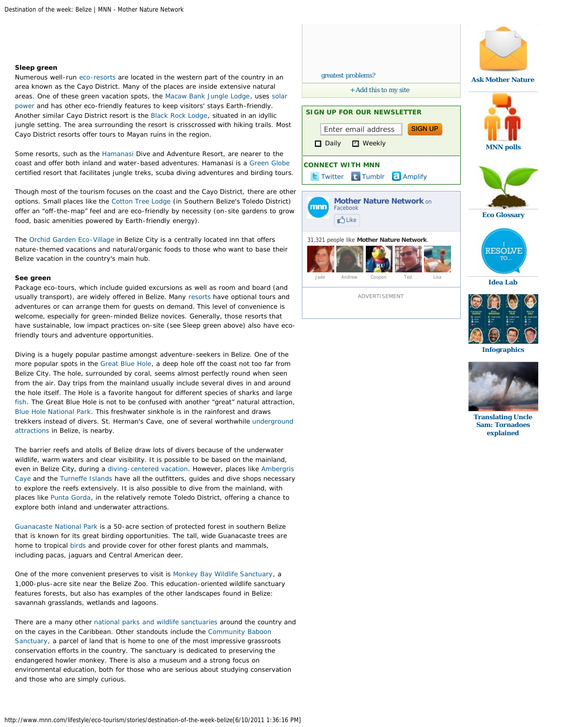#### **Sleep green**

Numerous well-run [eco-resorts](http://www.eco-tropicalresorts.com/centralamerica/belize.htm) are located in the western part of the country in an area known as the Cayo District. Many of the places are inside extensive natural areas. One of these green vacation spots, the [Macaw Bank Jungle Lodge,](http://macawbankjunglelodge.com/) uses [solar](http://www.mnn.com/eco-glossary/solar-power) [power](http://www.mnn.com/eco-glossary/solar-power) and has other eco-friendly features to keep visitors' stays Earth-friendly. Another similar Cayo District resort is the [Black Rock Lodge](http://www.blackrocklodge.com/home.html), situated in an idyllic jungle setting. The area surrounding the resort is crisscrossed with hiking trails. Most Cayo District resorts offer tours to Mayan ruins in the region.

Some resorts, such as the [Hamanasi](http://www.hamanasi.com/index.html) Dive and Adventure Resort, are nearer to the coast and offer both inland and water-based adventures. Hamanasi is a [Green Globe](http://www.hamanasi.com/eco_tourism.html) certified resort that facilitates jungle treks, scuba diving adventures and birding tours.

Though most of the tourism focuses on the coast and the Cayo District, there are other options. Small places like the [Cotton Tree Lodge](http://www.cottontreelodge.com/belize-lodge.html) (in Southern Belize's Toledo District) offer an "off-the-map" feel and are eco-friendly by necessity (on-site gardens to grow food, basic amenities powered by Earth-friendly energy).

The [Orchid Garden Eco-Village i](http://www.trybelize.com/)n Belize City is a centrally located inn that offers nature-themed vacations and natural/organic foods to those who want to base their Belize vacation in the country's main hub.

#### **See green**

Package eco-tours, which include guided excursions as well as room and board (and usually transport), are widely offered in Belize. Many [resorts](http://traveltips.usatoday.com/eco-tourism-resorts-belize-3222.html) have optional tours and adventures or can arrange them for guests on demand. This level of convenience is welcome, especially for green-minded Belize novices. Generally, those resorts that have sustainable, low impact practices on-site (see Sleep green above) also have ecofriendly tours and adventure opportunities.

Diving is a hugely popular pastime amongst adventure-seekers in Belize. One of the more popular spots in the [Great Blue Hole](http://earthobservatory.nasa.gov/IOTD/view.php?id=37741&src=iotdrss), a deep hole off the coast not too far from Belize City. The hole, surrounded by coral, seems almost perfectly round when seen from the air. Day trips from the mainland usually include several dives in and around the hole itself. The Hole is a favorite hangout for different species of sharks and large [fish](http://www.mnn.com/eco-glossary/fish). The Great Blue Hole is not to be confused with another "great" natural attraction, [Blue Hole National Park](http://ambergriscaye.com/pages/town/parkbluehole.html). This freshwater sinkhole is in the rainforest and draws trekkers instead of divers. St. Herman's Cave, one of several worthwhile [underground](http://www.turq.com/belize/belattra.html) [attractions](http://www.turq.com/belize/belattra.html) in Belize, is nearby.

The barrier reefs and atolls of Belize draw lots of divers because of the underwater wildlife, warm waters and clear visibility. It is possible to be based on the mainland, even in Belize City, during a [diving-centered vacation.](http://www.scubadivingbelize.com/index.php?page=reefs) However, places like [Ambergris](http://ambergriscaye.com/) [Caye](http://ambergriscaye.com/) and the [Turneffe Islands h](http://ambergriscaye.com/pages/town/diveturneffe.html)ave all the outfitters, guides and dive shops necessary to explore the reefs extensively. It is also possible to dive from the mainland, with places like [Punta Gorda](http://www.southernbelize.com/puntagorda.html), in the relatively remote Toledo District, offering a chance to explore both inland and underwater attractions.

[Guanacaste National Park i](http://centralamerica.com/belize/parks/guanacaste.htm)s a 50-acre section of protected forest in southern Belize that is known for its great birding opportunities. The tall, wide Guanacaste trees are home to tropical [birds](http://www.mnn.com/eco-glossary/birds) and provide cover for other forest plants and mammals, including pacas, jaguars and Central American deer.

One of the more convenient preserves to visit is [Monkey Bay Wildlife Sanctuary,](http://www.monkeybaybelize.org/) a 1,000-plus-acre site near the Belize Zoo. This education-oriented wildlife sanctuary features forests, but also has examples of the other landscapes found in Belize: savannah grasslands, wetlands and lagoons.

There are a many other [national parks and wildlife sanctuaries](http://www.turq.com/belize/belnatpk.html) around the country and on the cayes in the Caribbean. Other standouts include the [Community Baboon](http://www.howlermonkeys.org/) [Sanctuary](http://www.howlermonkeys.org/), a parcel of land that is home to one of the most impressive grassroots conservation efforts in the country. The sanctuary is dedicated to preserving the endangered howler monkey. There is also a museum and a strong focus on environmental education, both for those who are serious about studying conservation and those who are simply curious.



ADVERTISEMENT







**[Translating Uncle](http://www.mnn.com/earth-matters/translating-uncle-sam/stories/what-causes-tornadoes) [Sam: Tornadoes](http://www.mnn.com/earth-matters/translating-uncle-sam/stories/what-causes-tornadoes) [explained](http://www.mnn.com/earth-matters/translating-uncle-sam/stories/what-causes-tornadoes)**